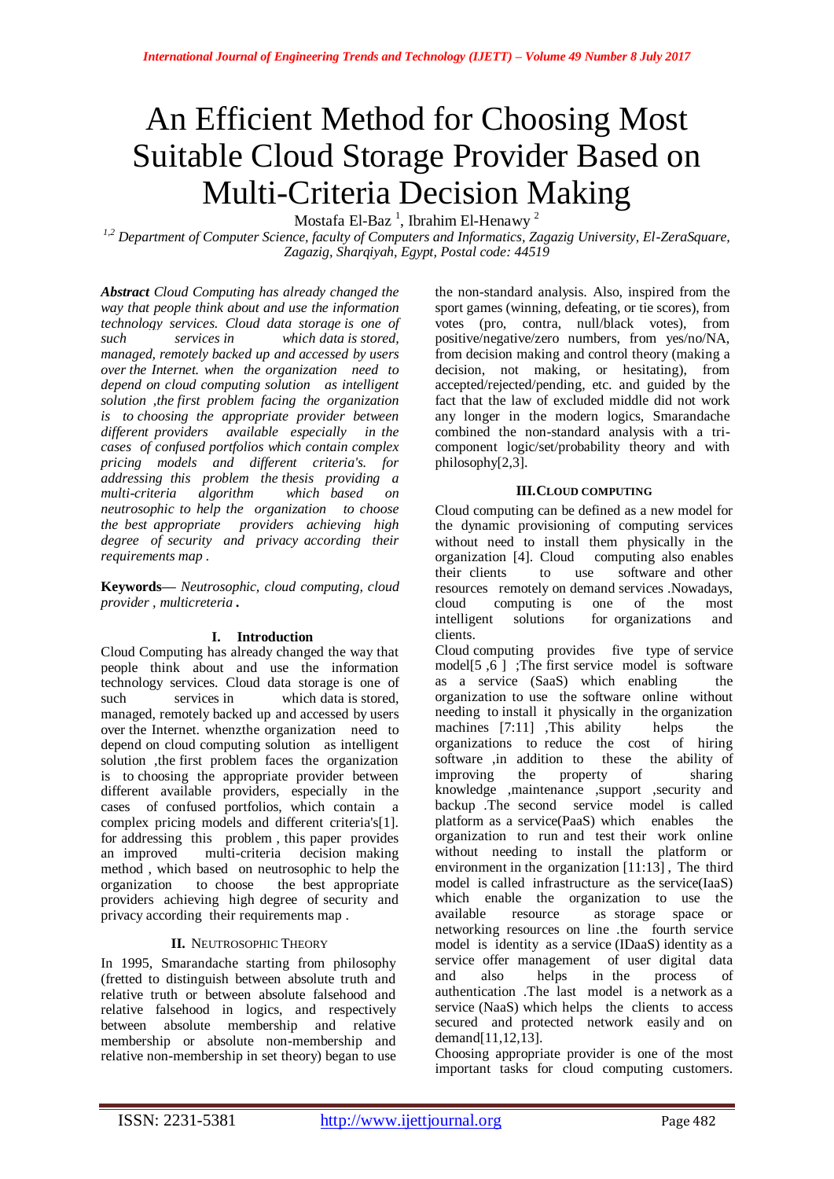# An Efficient Method for Choosing Most Suitable Cloud Storage Provider Based on Multi-Criteria Decision Making

Mostafa El-Baz<sup>1</sup>, Ibrahim El-Henawy<sup>2</sup>

*1,2 Department of Computer Science, faculty of Computers and Informatics, Zagazig University, El-ZeraSquare, Zagazig, Sharqiyah, Egypt, Postal code: 44519*

*Abstract Cloud Computing has already changed the way that people think about and use the information technology services. Cloud data storage is one of such services in which data is stored, managed, remotely backed up and accessed by users over the Internet. when the organization need to depend on cloud computing solution as intelligent solution ,the first problem facing the organization is to choosing the appropriate provider between different providers available especially in the cases of confused portfolios which contain complex pricing models and different criteria's. for addressing this problem the thesis providing a multi-criteria algorithm neutrosophic to help the organization to choose the best appropriate providers achieving high degree of security and privacy according their requirements map .*

**Keywords—** *Neutrosophic, cloud computing, cloud provider , multicreteria .*

### **I. Introduction**

Cloud Computing has already changed the way that people think about and use the information technology services. Cloud data storage is one of such services in which data is stored, managed, remotely backed up and accessed by users over the Internet. whenzthe organization need to depend on cloud computing solution as intelligent solution ,the first problem faces the organization is to choosing the appropriate provider between different available providers, especially in the cases of confused portfolios, which contain a complex pricing models and different criteria's[1]. for addressing this problem , this paper provides an improved multi-criteria decision making method , which based on neutrosophic to help the organization to choose the best appropriate providers achieving high degree of security and privacy according their requirements map .

# **II.** NEUTROSOPHIC THEORY

In 1995, Smarandache starting from philosophy (fretted to distinguish between absolute truth and relative truth or between absolute falsehood and relative falsehood in logics, and respectively between absolute membership and relative membership or absolute non-membership and relative non-membership in set theory) began to use

the non-standard analysis. Also, inspired from the sport games (winning, defeating, or tie scores), from votes (pro, contra, null/black votes), from positive/negative/zero numbers, from yes/no/NA, from decision making and control theory (making a decision, not making, or hesitating), from accepted/rejected/pending, etc. and guided by the fact that the law of excluded middle did not work any longer in the modern logics, Smarandache combined the non-standard analysis with a tricomponent logic/set/probability theory and with philosophy[2,3].

## **III.CLOUD COMPUTING**

Cloud computing can be defined as a new model for the dynamic provisioning of computing services without need to install them physically in the organization [4]. Cloud computing also enables their clients to use software and other resources remotely on demand services .Nowadays, cloud computing is one of the most intelligent solutions for organizations and clients.

Cloud computing provides five type of service model[5, $\overline{6}$ ]; The first service model is software as a service (SaaS) which enabling the organization to use the software online without needing to install it physically in the organization machines [7:11] ,This ability helps the organizations to reduce the cost of hiring organizations to reduce the cost software ,in addition to these the ability of improving the property of sharing knowledge ,maintenance ,support ,security and backup .The second service model is called platform as a service(PaaS) which enables the organization to run and test their work online without needing to install the platform or environment in the organization [11:13] , The third model is called infrastructure as the service(IaaS) which enable the organization to use the available resource as storage space or networking resources on line .the fourth service model is identity as a service (IDaaS) identity as a service offer management of user digital data and also helps in the process of authentication .The last model is a network as a service (NaaS) which helps the clients to access secured and protected network easily and on demand[11,12,13].

Choosing appropriate provider is one of the most important tasks for cloud computing customers.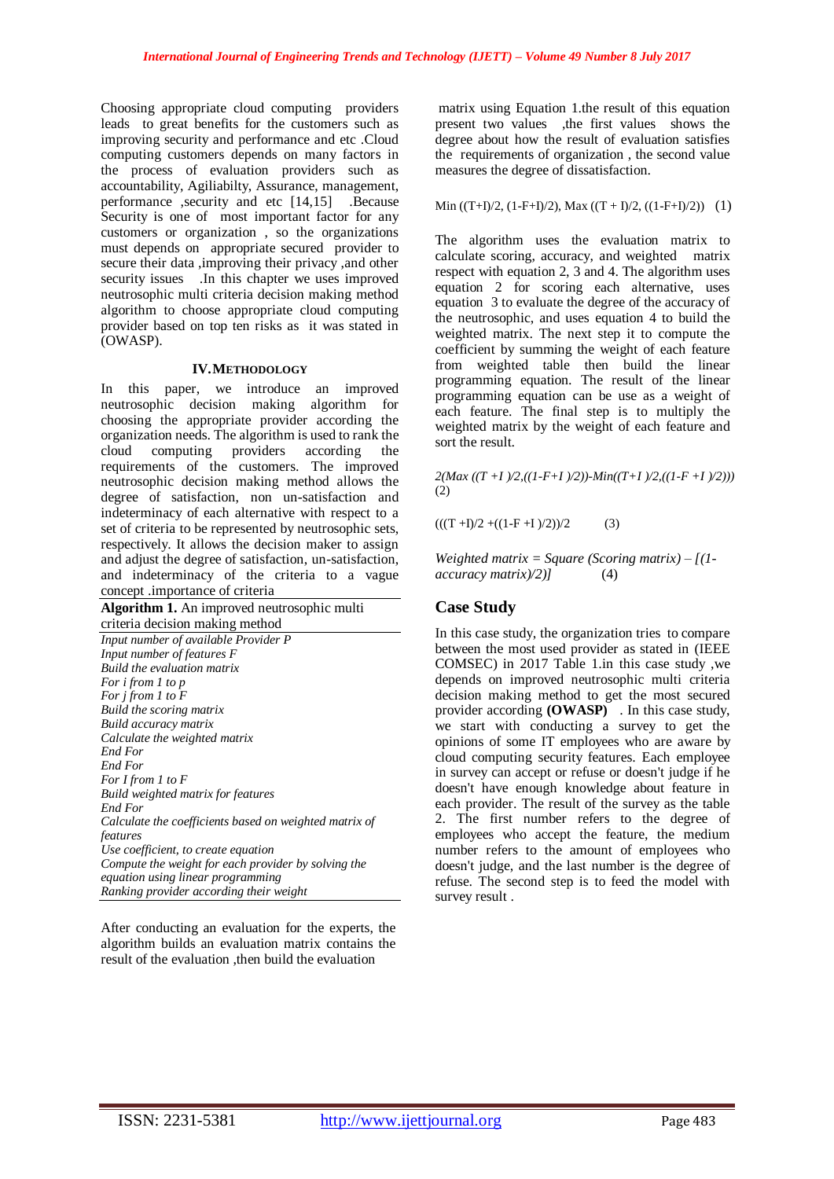Choosing appropriate cloud computing providers leads to great benefits for the customers such as improving security and performance and etc .Cloud computing customers depends on many factors in the process of evaluation providers such as accountability, Agiliabilty, Assurance, management, performance ,security and etc [14,15] .Because Security is one of most important factor for any customers or organization , so the organizations must depends on appropriate secured provider to secure their data ,improving their privacy ,and other security issues . In this chapter we uses improved neutrosophic multi criteria decision making method algorithm to choose appropriate cloud computing provider based on top ten risks as it was stated in (OWASP).

#### **IV.METHODOLOGY**

In this paper, we introduce an improved neutrosophic decision making algorithm for choosing the appropriate provider according the organization needs. The algorithm is used to rank the cloud computing providers according the requirements of the customers. The improved neutrosophic decision making method allows the degree of satisfaction, non un-satisfaction and indeterminacy of each alternative with respect to a set of criteria to be represented by neutrosophic sets, respectively. It allows the decision maker to assign and adjust the degree of satisfaction, un-satisfaction, and indeterminacy of the criteria to a vague concept .importance of criteria

**Algorithm 1.** An improved neutrosophic multi criteria decision making method *Input number of available Provider P Input number of features F Build the evaluation matrix For i from 1 to p For j from 1 to F Build the scoring matrix Build accuracy matrix Calculate the weighted matrix End For End For For I from 1 to F Build weighted matrix for features End For Calculate the coefficients based on weighted matrix of features Use coefficient, to create equation Compute the weight for each provider by solving the equation using linear programming Ranking provider according their weight* 

After conducting an evaluation for the experts, the algorithm builds an evaluation matrix contains the result of the evaluation ,then build the evaluation

matrix using Equation 1.the result of this equation present two values ,the first values shows the degree about how the result of evaluation satisfies the requirements of organization , the second value measures the degree of dissatisfaction.

Min ((T+I)/2, (1-F+I)/2), Max ((T + I)/2, ((1-F+I)/2)) (1)

The algorithm uses the evaluation matrix to calculate scoring, accuracy, and weighted matrix respect with equation 2, 3 and 4. The algorithm uses equation 2 for scoring each alternative, uses equation 3 to evaluate the degree of the accuracy of the neutrosophic, and uses equation 4 to build the weighted matrix. The next step it to compute the coefficient by summing the weight of each feature from weighted table then build the linear programming equation. The result of the linear programming equation can be use as a weight of each feature. The final step is to multiply the weighted matrix by the weight of each feature and sort the result.

 $2(Max ((T+I)/2)((I-F+I)/2))$ - $Min((T+I)/2((I-F+I)/2)))$ (2)

 $(((T + I)/2 + ((1 - F + I)/2))/2)$  (3)

*Weighted matrix = Square (Scoring matrix) – [(1 accuracy matrix)/2)]* (4)

# **Case Study**

In this case study, the organization tries to compare between the most used provider as stated in (IEEE COMSEC) in 2017 Table 1.in this case study ,we depends on improved neutrosophic multi criteria decision making method to get the most secured provider according **(OWASP)** . In this case study, we start with conducting a survey to get the opinions of some IT employees who are aware by cloud computing security features. Each employee in survey can accept or refuse or doesn't judge if he doesn't have enough knowledge about feature in each provider. The result of the survey as the table 2. The first number refers to the degree of employees who accept the feature, the medium number refers to the amount of employees who doesn't judge, and the last number is the degree of refuse. The second step is to feed the model with survey result .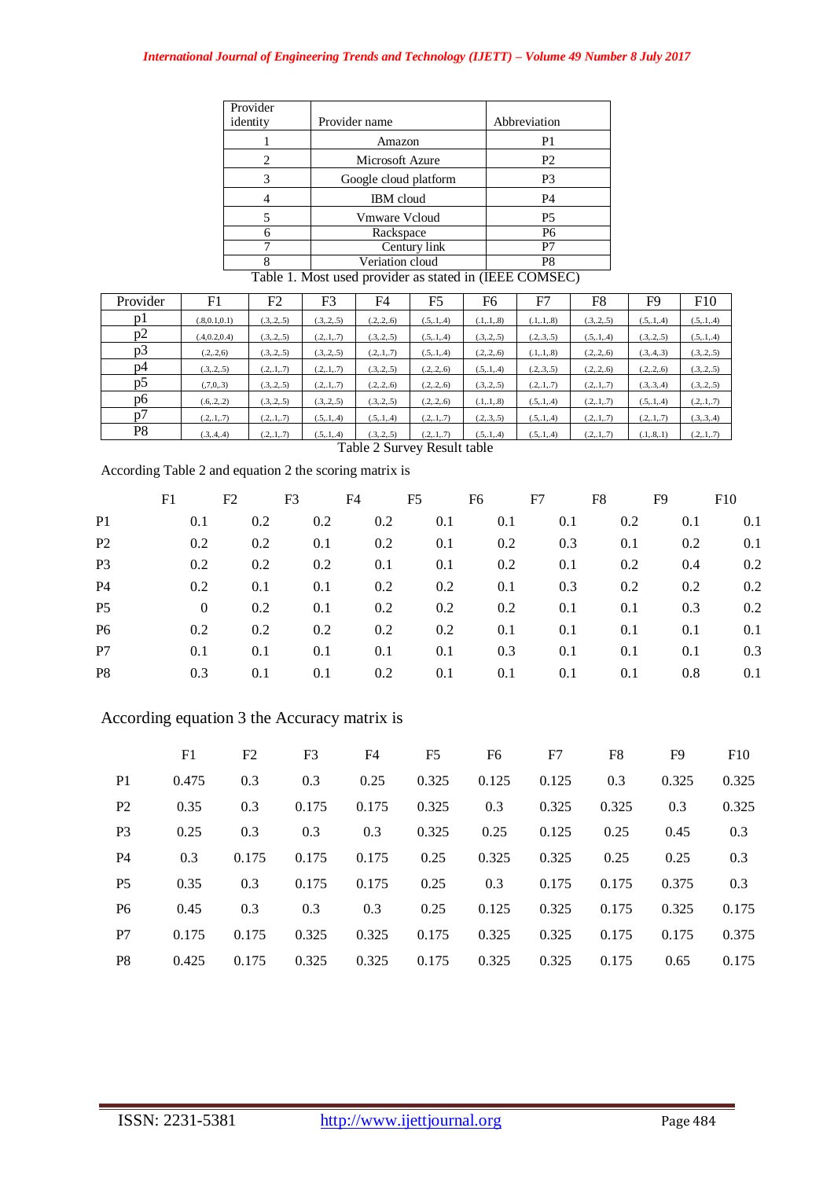| Provider |                       |                |
|----------|-----------------------|----------------|
| identity | Provider name         | Abbreviation   |
|          | Amazon                | P <sub>1</sub> |
| 2        | Microsoft Azure       | P <sub>2</sub> |
| 3        | Google cloud platform | P <sub>3</sub> |
|          | <b>IBM</b> cloud      | P <sub>4</sub> |
|          | <b>Vmware Vcloud</b>  | P <sub>5</sub> |
|          | Rackspace             | P <sub>6</sub> |
|          | Century link          | P7             |
|          | Veriation cloud       | P8             |

Table 1. Most used provider as stated in (IEEE COMSEC)

| Provider       | F1             | F <sub>2</sub> | F3           | F4           | F <sub>5</sub> | F6           | F7           | F8           | F9           | F10          |
|----------------|----------------|----------------|--------------|--------------|----------------|--------------|--------------|--------------|--------------|--------------|
| pl             | (.8, 0.1, 0.1) | (.3, .2, .5)   | (.3, .2, .5) | (.2, .2, .6) | (.5, .1, .4)   | (.1, .1, .8) | (.1, .1, .8) | (.3, .2, .5) | (.5, .1, .4) | (.5, .1, .4) |
| p2             | (.4, 0.2, 0.4) | (.3, .2, .5)   | (.2, .1, .7) | (.3, .2, .5) | (.5, .1, .4)   | (.3, .2, .5) | (.2, .3, .5) | (.5, .1, .4) | (.3, .2, .5) | (.5, .1, .4) |
| p3             | (.2, .2, 6)    | (.3, .2, .5)   | (.3, .2, .5) | (.2, .1, .7) | (.5,.1,.4)     | (.2, .2, .6) | (.1, .1, .8) | (.2, .2, .6) | (.3, .4, .3) | (.3, .2, .5) |
| p4             | (.3, .2, .5)   | (.2, .1, .7)   | (.2, .1, .7) | (.3, .2, .5) | (.2, .2, .6)   | (.5, .1, .4) | (.2, .3, .5) | (.2, .2, .6) | (.2, .2, .6) | (.3, .2, .5) |
| p5             | (7,0,3)        | (.3, .2, .5)   | (.2, .1, .7) | (.2, .2, .6) | (.2, .2, .6)   | (.3, .2, .5) | (.2, .1, .7) | (.2, .1, .7) | (.3, .3, .4) | (.3, .2, .5) |
| p6             | (.6,.2,.2)     | (.3, .2, .5)   | (.3, .2, .5) | (.3, .2, .5) | (.2, .2, .6)   | (.1, .1, .8) | (.5, .1, .4) | (.2, .1, .7) | (.5, .1, .4) | (.2, .1, .7) |
| D <sub>0</sub> | (.2, .1, .7)   | (.2, .1, .7)   | (.5, .1, .4) | (.5, .1, .4) | (.2, .1, .7)   | (.2, .3, .5) | (.5, .1, .4) | (.2, .1, .7) | (.2, .1, .7) | (.3, .3, .4) |
| P8             | (.3, .4, .4)   | (.2, .1, .7)   | (.5, .1, .4) | (.3, .2, .5) | (.2, .1, .7)   | (.5, .1, .4) | (.5, .1, .4) | (.2, .1, .7) | (.1, .8, .1) | (.2, .1, .7) |

Table 2 Survey Result table

According Table 2 and equation 2 the scoring matrix is

|                | F1             | F2  | F3      | F4  | F5      | F6  | F7  | F8  | F9  | F10 |
|----------------|----------------|-----|---------|-----|---------|-----|-----|-----|-----|-----|
| P <sub>1</sub> | 0.1            | 0.2 | 0.2     | 0.2 | 0.1     | 0.1 | 0.1 | 0.2 | 0.1 | 0.1 |
| P <sub>2</sub> | 0.2            | 0.2 | 0.1     | 0.2 | 0.1     | 0.2 | 0.3 | 0.1 | 0.2 | 0.1 |
| P <sub>3</sub> | 0.2            | 0.2 | $0.2\,$ | 0.1 | 0.1     | 0.2 | 0.1 | 0.2 | 0.4 | 0.2 |
| <b>P4</b>      | 0.2            | 0.1 | 0.1     | 0.2 | 0.2     | 0.1 | 0.3 | 0.2 | 0.2 | 0.2 |
| P <sub>5</sub> | $\overline{0}$ | 0.2 | 0.1     | 0.2 | $0.2\,$ | 0.2 | 0.1 | 0.1 | 0.3 | 0.2 |
| P <sub>6</sub> | 0.2            | 0.2 | $0.2\,$ | 0.2 | $0.2\,$ | 0.1 | 0.1 | 0.1 | 0.1 | 0.1 |
| P7             | 0.1            | 0.1 | 0.1     | 0.1 | 0.1     | 0.3 | 0.1 | 0.1 | 0.1 | 0.3 |
| P <sub>8</sub> | 0.3            | 0.1 | 0.1     | 0.2 | 0.1     | 0.1 | 0.1 | 0.1 | 0.8 | 0.1 |
|                |                |     |         |     |         |     |     |     |     |     |

# According equation 3 the Accuracy matrix is

|                | F1    | F <sub>2</sub> | F <sub>3</sub> | F4    | F <sub>5</sub> | F6    | F7    | F8    | F9    | F10   |
|----------------|-------|----------------|----------------|-------|----------------|-------|-------|-------|-------|-------|
| P <sub>1</sub> | 0.475 | 0.3            | 0.3            | 0.25  | 0.325          | 0.125 | 0.125 | 0.3   | 0.325 | 0.325 |
| P <sub>2</sub> | 0.35  | 0.3            | 0.175          | 0.175 | 0.325          | 0.3   | 0.325 | 0.325 | 0.3   | 0.325 |
| P <sub>3</sub> | 0.25  | 0.3            | 0.3            | 0.3   | 0.325          | 0.25  | 0.125 | 0.25  | 0.45  | 0.3   |
| <b>P4</b>      | 0.3   | 0.175          | 0.175          | 0.175 | 0.25           | 0.325 | 0.325 | 0.25  | 0.25  | 0.3   |
| P <sub>5</sub> | 0.35  | 0.3            | 0.175          | 0.175 | 0.25           | 0.3   | 0.175 | 0.175 | 0.375 | 0.3   |
| P <sub>6</sub> | 0.45  | 0.3            | 0.3            | 0.3   | 0.25           | 0.125 | 0.325 | 0.175 | 0.325 | 0.175 |
| P7             | 0.175 | 0.175          | 0.325          | 0.325 | 0.175          | 0.325 | 0.325 | 0.175 | 0.175 | 0.375 |
| P <sub>8</sub> | 0.425 | 0.175          | 0.325          | 0.325 | 0.175          | 0.325 | 0.325 | 0.175 | 0.65  | 0.175 |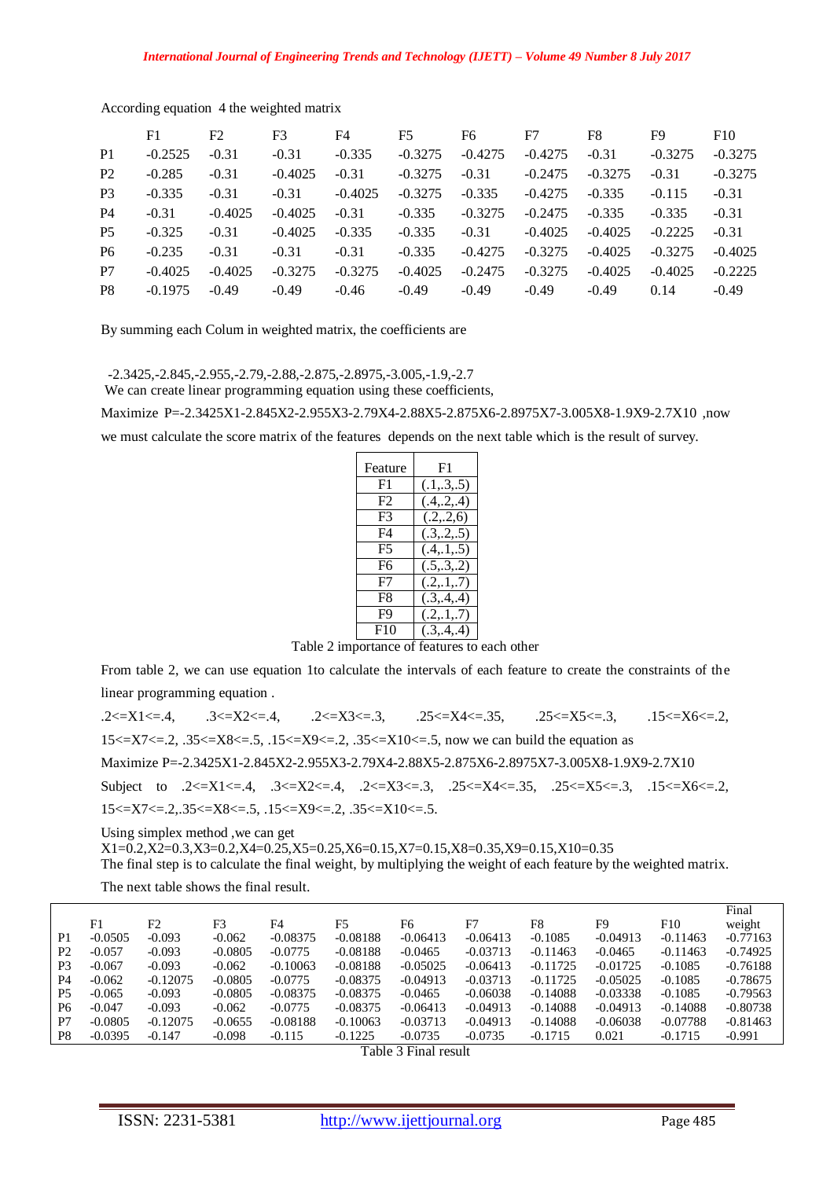|                | F1        | F2        | F3        | F4        | F5        | F6        | F7        | F8        | F9        | F10       |
|----------------|-----------|-----------|-----------|-----------|-----------|-----------|-----------|-----------|-----------|-----------|
| P <sub>1</sub> | $-0.2525$ | $-0.31$   | $-0.31$   | $-0.335$  | $-0.3275$ | $-0.4275$ | $-0.4275$ | $-0.31$   | $-0.3275$ | $-0.3275$ |
| <b>P2</b>      | $-0.285$  | $-0.31$   | $-0.4025$ | $-0.31$   | $-0.3275$ | $-0.31$   | $-0.2475$ | $-0.3275$ | $-0.31$   | $-0.3275$ |
| <b>P</b> 3     | $-0.335$  | $-0.31$   | $-0.31$   | $-0.4025$ | $-0.3275$ | $-0.335$  | $-0.4275$ | $-0.335$  | $-0.115$  | $-0.31$   |
| <b>P4</b>      | $-0.31$   | $-0.4025$ | $-0.4025$ | $-0.31$   | $-0.335$  | $-0.3275$ | $-0.2475$ | $-0.335$  | $-0.335$  | $-0.31$   |
| P <sub>5</sub> | $-0.325$  | $-0.31$   | $-0.4025$ | $-0.335$  | $-0.335$  | $-0.31$   | $-0.4025$ | $-0.4025$ | $-0.2225$ | $-0.31$   |
| P <sub>6</sub> | $-0.235$  | $-0.31$   | $-0.31$   | $-0.31$   | $-0.335$  | $-0.4275$ | $-0.3275$ | $-0.4025$ | $-0.3275$ | $-0.4025$ |
| P7             | $-0.4025$ | $-0.4025$ | $-0.3275$ | $-0.3275$ | $-0.4025$ | $-0.2475$ | $-0.3275$ | $-0.4025$ | $-0.4025$ | $-0.2225$ |
| P <sub>8</sub> | $-0.1975$ | $-0.49$   | $-0.49$   | $-0.46$   | $-0.49$   | $-0.49$   | $-0.49$   | $-0.49$   | 0.14      | $-0.49$   |

According equation 4 the weighted matrix

By summing each Colum in weighted matrix, the coefficients are

-2.3425,-2.845,-2.955,-2.79,-2.88,-2.875,-2.8975,-3.005,-1.9,-2.7

We can create linear programming equation using these coefficients,

Maximize P=-2.3425X1-2.845X2-2.955X3-2.79X4-2.88X5-2.875X6-2.8975X7-3.005X8-1.9X9-2.7X10 ,now

we must calculate the score matrix of the features depends on the next table which is the result of survey.

| Feature        | F1           |
|----------------|--------------|
| F1             | (.1,.3,.5)   |
| F <sub>2</sub> | (.4, .2, .4) |
| F3             | (.2, .2, 6)  |
| F4             | (.3, .2, .5) |
| F5             | (.4, .1, .5) |
| F6             | (.5, .3, .2) |
| F7             | (.2, .1, .7) |
| F8             | (.3, .4, .4) |
| F9             | (.2, .1, .7) |
| F10            | (.3, .4, .4) |

Table 2 importance of features to each other

From table 2, we can use equation 1to calculate the intervals of each feature to create the constraints of the linear programming equation .

.2<=X1<=.4, .3<=X2<=.4, .2<=X3<=.3, .25<=X4<=.35, .25<=X5<=.3, .15<=X6<=.2,  $15 \leq X7 \leq 2$ ,  $.35 \leq X8 \leq 5$ ,  $.15 \leq X9 \leq 2$ ,  $.35 \leq X10 \leq 5$ , now we can build the equation as Maximize P=-2.3425X1-2.845X2-2.955X3-2.79X4-2.88X5-2.875X6-2.8975X7-3.005X8-1.9X9-2.7X10 Subject to .2<=X1<=.4, .3<=X2<=.4, .2<=X3<=.3, .25<=X4<=.35, .25<=X5<=.3, .15<=X6<=.2,  $15 \le X7 \le 2, .35 \le X8 \le 5, .15 \le X9 \le 2, .35 \le X10 \le 5.$ Using simplex method ,we can get

X1=0.2,X2=0.3,X3=0.2,X4=0.25,X5=0.25,X6=0.15,X7=0.15,X8=0.35,X9=0.15,X10=0.35

The final step is to calculate the final weight, by multiplying the weight of each feature by the weighted matrix.

The next table shows the final result.

|                |           |                |           |            |            |            |            |            |                |            | Final      |
|----------------|-----------|----------------|-----------|------------|------------|------------|------------|------------|----------------|------------|------------|
|                | F1        | F <sub>2</sub> | F3        | F4         | F5         | F6         | F7         | F8         | F <sub>9</sub> | F10        | weight     |
| P1             | $-0.0505$ | $-0.093$       | $-0.062$  | $-0.08375$ | $-0.08188$ | $-0.06413$ | $-0.06413$ | $-0.1085$  | $-0.04913$     | $-0.11463$ | $-0.77163$ |
| P <sub>2</sub> | $-0.057$  | $-0.093$       | $-0.0805$ | $-0.0775$  | $-0.08188$ | $-0.0465$  | $-0.03713$ | $-0.11463$ | $-0.0465$      | $-0.11463$ | $-0.74925$ |
| P3             | $-0.067$  | $-0.093$       | $-0.062$  | $-0.10063$ | $-0.08188$ | $-0.05025$ | $-0.06413$ | $-0.11725$ | $-0.01725$     | $-0.1085$  | $-0.76188$ |
| P4             | $-0.062$  | $-0.12075$     | $-0.0805$ | $-0.0775$  | $-0.08375$ | $-0.04913$ | $-0.03713$ | $-0.11725$ | $-0.05025$     | $-0.1085$  | $-0.78675$ |
| P5             | $-0.065$  | $-0.093$       | $-0.0805$ | $-0.08375$ | $-0.08375$ | $-0.0465$  | $-0.06038$ | $-0.14088$ | $-0.03338$     | $-0.1085$  | $-0.79563$ |
| P <sub>6</sub> | $-0.047$  | $-0.093$       | $-0.062$  | $-0.0775$  | $-0.08375$ | $-0.06413$ | $-0.04913$ | $-0.14088$ | $-0.04913$     | $-0.14088$ | $-0.80738$ |
| P7             | $-0.0805$ | $-0.12075$     | $-0.0655$ | $-0.08188$ | $-0.10063$ | $-0.03713$ | $-0.04913$ | $-0.14088$ | $-0.06038$     | $-0.07788$ | $-0.81463$ |
| P <sub>8</sub> | $-0.0395$ | $-0.147$       | $-0.098$  | $-0.115$   | $-0.1225$  | $-0.0735$  | $-0.0735$  | $-0.1715$  | 0.021          | $-0.1715$  | $-0.991$   |
|                |           |                |           |            |            |            |            |            |                |            |            |

Table 3 Final result